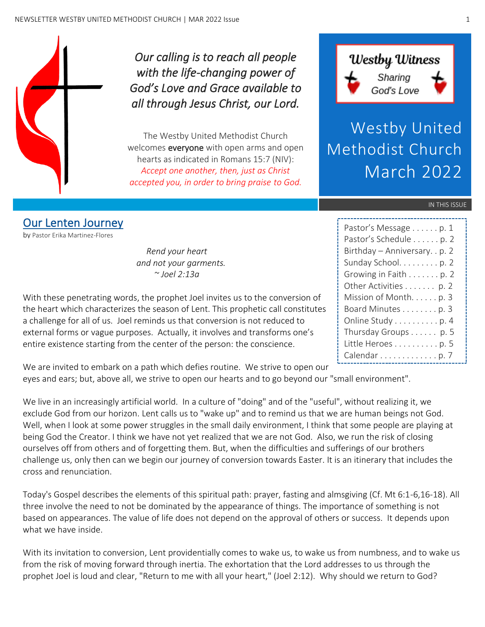

*Our calling is to reach all people with the life-changing power of God's Love and Grace available to all through Jesus Christ, our Lord.* 

The Westby United Methodist Church welcomes **everyone** with open arms and open hearts as indicated in Romans 15:7 (NIV): *Accept one another, then, just as Christ accepted you, in order to bring praise to God.*



Westby United Methodist Church March 2022

#### IN THIS ISSUE

### Our Lenten Journey

by Pastor Erika Martinez-Flores

*Rend your heart and not your garments. ~ Joel 2:13a*

With these penetrating words, the prophet Joel invites us to the conversion of the heart which characterizes the season of Lent. This prophetic call constitutes a challenge for all of us. Joel reminds us that conversion is not reduced to external forms or vague purposes. Actually, it involves and transforms one's entire existence starting from the center of the person: the conscience.

We are invited to embark on a path which defies routine. We strive to open our eyes and ears; but, above all, we strive to open our hearts and to go beyond our "small environment".

We live in an increasingly artificial world. In a culture of "doing" and of the "useful", without realizing it, we exclude God from our horizon. Lent calls us to "wake up" and to remind us that we are human beings not God. Well, when I look at some power struggles in the small daily environment, I think that some people are playing at being God the Creator. I think we have not yet realized that we are not God. Also, we run the risk of closing ourselves off from others and of forgetting them. But, when the difficulties and sufferings of our brothers challenge us, only then can we begin our journey of conversion towards Easter. It is an itinerary that includes the cross and renunciation.

Today's Gospel describes the elements of this spiritual path: prayer, fasting and almsgiving (Cf. Mt 6:1-6,16-18). All three involve the need to not be dominated by the appearance of things. The importance of something is not based on appearances. The value of life does not depend on the approval of others or success. It depends upon what we have inside.

With its invitation to conversion, Lent providentially comes to wake us, to wake us from numbness, and to wake us from the risk of moving forward through inertia. The exhortation that the Lord addresses to us through the prophet Joel is loud and clear, "Return to me with all your heart," (Joel 2:12). Why should we return to God?

| Pastor's Message p. 1          |
|--------------------------------|
| Pastor's Schedule p. 2         |
| Birthday - Anniversary. . p. 2 |
| Sunday School. p. 2            |
| Growing in Faith p. 2          |
| Other Activities p. 2          |
| Mission of Month. p. 3         |
| Board Minutes p. 3             |
| Online Study p. 4              |
| Thursday Groups p. 5           |
| Little Heroes p. 5             |
| Calendar p. 7                  |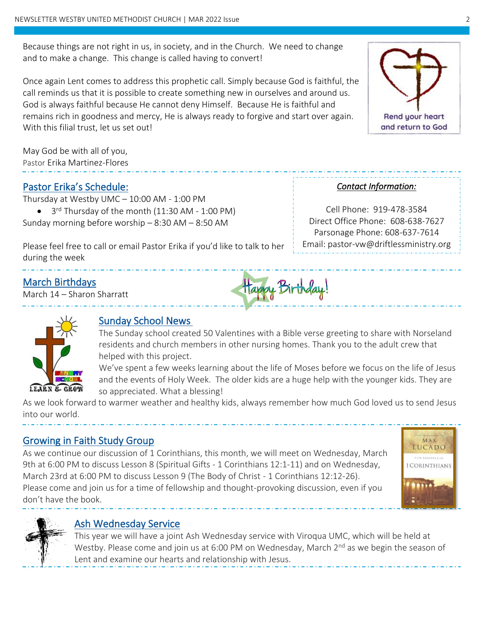Because things are not right in us, in society, and in the Church. We need to change and to make a change. This change is called having to convert!

Once again Lent comes to address this prophetic call. Simply because God is faithful, the call reminds us that it is possible to create something new in ourselves and around us. God is always faithful because He cannot deny Himself. Because He is faithful and remains rich in goodness and mercy, He is always ready to forgive and start over again. With this filial trust, let us set out!

May God be with all of you, Pastor Erika Martinez-Flores

#### Pastor Erika's Schedule:

Thursday at Westby UMC – 10:00 AM - 1:00 PM

• 3<sup>rd</sup> Thursday of the month (11:30 AM - 1:00 PM) Sunday morning before worship – 8:30 AM – 8:50 AM

Please feel free to call or email Pastor Erika if you'd like to talk to her during the week

## March Birthdays

March 14 – Sharon Sharratt



#### Sunday School News

The Sunday school created 50 Valentines with a Bible verse greeting to share with Norseland residents and church members in other nursing homes. Thank you to the adult crew that helped with this project.

Happy Birthday!

We've spent a few weeks learning about the life of Moses before we focus on the life of Jesus and the events of Holy Week. The older kids are a huge help with the younger kids. They are so appreciated. What a blessing!

As we look forward to warmer weather and healthy kids, always remember how much God loved us to send Jesus into our world.

### Growing in Faith Study Group

As we continue our discussion of 1 Corinthians, this month, we will meet on Wednesday, March 9th at 6:00 PM to discuss Lesson 8 (Spiritual Gifts - 1 Corinthians 12:1-11) and on Wednesday, March 23rd at 6:00 PM to discuss Lesson 9 (The Body of Christ - 1 Corinthians 12:12-26). Please come and join us for a time of fellowship and thought-provoking discussion, even if you don't have the book.





 $\overline{a}$ 

#### Ash Wednesday Service

This year we will have a joint Ash Wednesday service with Viroqua UMC, which will be held at Westby. Please come and join us at 6:00 PM on Wednesday, March  $2^{nd}$  as we begin the season of Lent and examine our hearts and relationship with Jesus.



#### *Contact Information:*

Cell Phone: 919-478-3584 Direct Office Phone: 608-638-7627 Parsonage Phone: 608-637-7614 Email: pastor-vw@driftlessministry.org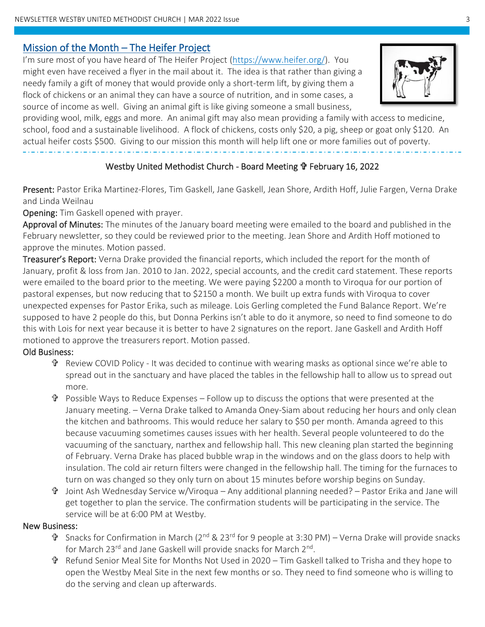### Mission of the Month – The Heifer Project

I'm sure most of you have heard of The Heifer Project [\(https://www.heifer.org/\)](https://www.heifer.org/). You might even have received a flyer in the mail about it. The idea is that rather than giving a needy family a gift of money that would provide only a short-term lift, by giving them a flock of chickens or an animal they can have a source of nutrition, and in some cases, a source of income as well. Giving an animal gift is like giving someone a small business,

providing wool, milk, eggs and more. An animal gift may also mean providing a family with access to medicine, school, food and a sustainable livelihood. A flock of chickens, costs only \$20, a pig, sheep or goat only \$120. An actual heifer costs \$500. Giving to our mission this month will help lift one or more families out of poverty. j

#### Westby United Methodist Church - Board Meeting February 16, 2022

Present: Pastor Erika Martinez-Flores, Tim Gaskell, Jane Gaskell, Jean Shore, Ardith Hoff, Julie Fargen, Verna Drake and Linda Weilnau

Opening: Tim Gaskell opened with prayer.

Approval of Minutes: The minutes of the January board meeting were emailed to the board and published in the February newsletter, so they could be reviewed prior to the meeting. Jean Shore and Ardith Hoff motioned to approve the minutes. Motion passed.

Treasurer's Report: Verna Drake provided the financial reports, which included the report for the month of January, profit & loss from Jan. 2010 to Jan. 2022, special accounts, and the credit card statement. These reports were emailed to the board prior to the meeting. We were paying \$2200 a month to Viroqua for our portion of pastoral expenses, but now reducing that to \$2150 a month. We built up extra funds with Viroqua to cover unexpected expenses for Pastor Erika, such as mileage. Lois Gerling completed the Fund Balance Report. We're supposed to have 2 people do this, but Donna Perkins isn't able to do it anymore, so need to find someone to do this with Lois for next year because it is better to have 2 signatures on the report. Jane Gaskell and Ardith Hoff motioned to approve the treasurers report. Motion passed.

#### Old Business:

- Review COVID Policy It was decided to continue with wearing masks as optional since we're able to spread out in the sanctuary and have placed the tables in the fellowship hall to allow us to spread out more.
- $\mathbf{\hat{T}}$  Possible Ways to Reduce Expenses Follow up to discuss the options that were presented at the January meeting. – Verna Drake talked to Amanda Oney-Siam about reducing her hours and only clean the kitchen and bathrooms. This would reduce her salary to \$50 per month. Amanda agreed to this because vacuuming sometimes causes issues with her health. Several people volunteered to do the vacuuming of the sanctuary, narthex and fellowship hall. This new cleaning plan started the beginning of February. Verna Drake has placed bubble wrap in the windows and on the glass doors to help with insulation. The cold air return filters were changed in the fellowship hall. The timing for the furnaces to turn on was changed so they only turn on about 15 minutes before worship begins on Sunday.
- Joint Ash Wednesday Service w/Viroqua Any additional planning needed? Pastor Erika and Jane will get together to plan the service. The confirmation students will be participating in the service. The service will be at 6:00 PM at Westby.

#### New Business:

- Snacks for Confirmation in March (2nd & 23rd for 9 people at 3:30 PM) Verna Drake will provide snacks for March 23<sup>rd</sup> and Jane Gaskell will provide snacks for March 2<sup>nd</sup>.
- Refund Senior Meal Site for Months Not Used in 2020 Tim Gaskell talked to Trisha and they hope to open the Westby Meal Site in the next few months or so. They need to find someone who is willing to do the serving and clean up afterwards.

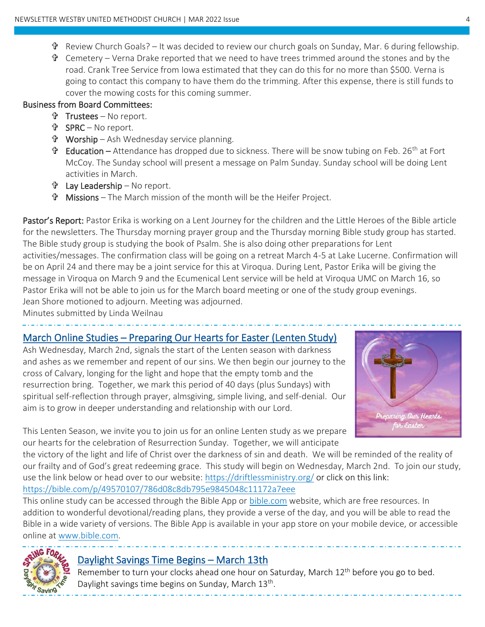- Review Church Goals? It was decided to review our church goals on Sunday, Mar. 6 during fellowship.
- $\mathbf{\hat{T}}$  Cemetery Verna Drake reported that we need to have trees trimmed around the stones and by the road. Crank Tree Service from Iowa estimated that they can do this for no more than \$500. Verna is going to contact this company to have them do the trimming. After this expense, there is still funds to cover the mowing costs for this coming summer.

#### Business from Board Committees:

- $\mathbf{\hat{T}}$  Trustees No report.
- SPRC No report.
- Worship Ash Wednesday service planning.
- $\mathbf{\hat{F}}$  Education Attendance has dropped due to sickness. There will be snow tubing on Feb. 26<sup>th</sup> at Fort McCoy. The Sunday school will present a message on Palm Sunday. Sunday school will be doing Lent activities in March.
- Lay Leadership No report.
- Missions The March mission of the month will be the Heifer Project.

Pastor's Report: Pastor Erika is working on a Lent Journey for the children and the Little Heroes of the Bible article for the newsletters. The Thursday morning prayer group and the Thursday morning Bible study group has started. The Bible study group is studying the book of Psalm. She is also doing other preparations for Lent activities/messages. The confirmation class will be going on a retreat March 4-5 at Lake Lucerne. Confirmation will be on April 24 and there may be a joint service for this at Viroqua. During Lent, Pastor Erika will be giving the message in Viroqua on March 9 and the Ecumenical Lent service will be held at Viroqua UMC on March 16, so Pastor Erika will not be able to join us for the March board meeting or one of the study group evenings. Jean Shore motioned to adjourn. Meeting was adjourned.

Minutes submitted by Linda Weilnau

## March Online Studies – Preparing Our Hearts for Easter (Lenten Study)

Ash Wednesday, March 2nd, signals the start of the Lenten season with darkness and ashes as we remember and repent of our sins. We then begin our journey to the cross of Calvary, longing for the light and hope that the empty tomb and the resurrection bring. Together, we mark this period of 40 days (plus Sundays) with spiritual self-reflection through prayer, almsgiving, simple living, and self-denial. Our aim is to grow in deeper understanding and relationship with our Lord.



This Lenten Season, we invite you to join us for an online Lenten study as we prepare our hearts for the celebration of Resurrection Sunday. Together, we will anticipate

the victory of the light and life of Christ over the darkness of sin and death. We will be reminded of the reality of our frailty and of God's great redeeming grace. This study will begin on Wednesday, March 2nd. To join our study, use the link below or head over to our website:<https://driftlessministry.org/> or click on this link: <https://bible.com/p/49570107/786d08c8db795e9845048c11172a7eee>

This online study can be accessed through the Bible App or [bible.com](http://www.bible.com/) website, which are free resources. In addition to wonderful devotional/reading plans, they provide a verse of the day, and you will be able to read the Bible in a wide variety of versions. The Bible App is available in your app store on your mobile device, or accessible online at [www.bible.com.](file:///C:/Users/Paul/Documents/Linda/Church%20Newsletter/Oct2021/www.bible.com)

# **Saving**

#### Daylight Savings Time Begins – March 13th

Remember to turn your clocks ahead one hour on Saturday, March 12<sup>th</sup> before you go to bed. Daylight savings time begins on Sunday, March 13th .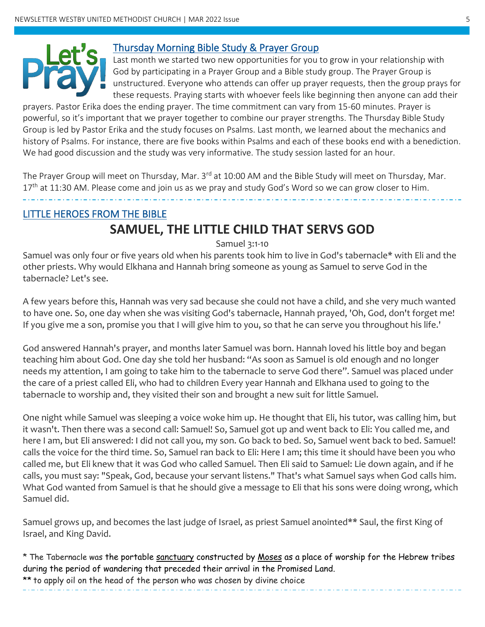

1

#### Thursday Morning Bible Study & Prayer Group

Last month we started two new opportunities for you to grow in your relationship with God by participating in a Prayer Group and a Bible study group. The Prayer Group is unstructured. Everyone who attends can offer up prayer requests, then the group prays for these requests. Praying starts with whoever feels like beginning then anyone can add their

prayers. Pastor Erika does the ending prayer. The time commitment can vary from 15-60 minutes. Prayer is powerful, so it's important that we prayer together to combine our prayer strengths. The Thursday Bible Study Group is led by Pastor Erika and the study focuses on Psalms. Last month, we learned about the mechanics and history of Psalms. For instance, there are five books within Psalms and each of these books end with a benediction. We had good discussion and the study was very informative. The study session lasted for an hour.

The Prayer Group will meet on Thursday, Mar. 3<sup>rd</sup> at 10:00 AM and the Bible Study will meet on Thursday, Mar. 17<sup>th</sup> at 11:30 AM. Please come and join us as we pray and study God's Word so we can grow closer to Him.

## LITTLE HEROES FROM THE BIBLE **SAMUEL, THE LITTLE CHILD THAT SERVS GOD**

Samuel 3:1-10

Samuel was only four or five years old when his parents took him to live in God's tabernacle\* with Eli and the other priests. Why would Elkhana and Hannah bring someone as young as Samuel to serve God in the tabernacle? Let's see.

A few years before this, Hannah was very sad because she could not have a child, and she very much wanted to have one. So, one day when she was visiting God's tabernacle, Hannah prayed, 'Oh, God, don't forget me! If you give me a son, promise you that I will give him to you, so that he can serve you throughout his life.'

God answered Hannah's prayer, and months later Samuel was born. Hannah loved his little boy and began teaching him about God. One day she told her husband: "As soon as Samuel is old enough and no longer needs my attention, I am going to take him to the tabernacle to serve God there". Samuel was placed under the care of a priest called Eli, who had to children Every year Hannah and Elkhana used to going to the tabernacle to worship and, they visited their son and brought a new suit for little Samuel.

One night while Samuel was sleeping a voice woke him up. He thought that Eli, his tutor, was calling him, but it wasn't. Then there was a second call: Samuel! So, Samuel got up and went back to Eli: You called me, and here I am, but Eli answered: I did not call you, my son. Go back to bed. So, Samuel went back to bed. Samuel! calls the voice for the third time. So, Samuel ran back to Eli: Here I am; this time it should have been you who called me, but Eli knew that it was God who called Samuel. Then Eli said to Samuel: Lie down again, and if he calls, you must say: "Speak, God, because your servant listens." That's what Samuel says when God calls him. What God wanted from Samuel is that he should give a message to Eli that his sons were doing wrong, which Samuel did.

Samuel grows up, and becomes the last judge of Israel, as priest Samuel anointed\*\* Saul, the first King of Israel, and King David.

\* The Tabernacle was the portable [sanctuary](https://www.britannica.com/topic/sanctuary-religion) constructed by [Moses](https://www.britannica.com/biography/Moses-Hebrew-prophet) as a place of worship for the Hebrew tribes during the period of wandering that preceded their arrival in the Promised Land. \*\* to apply oil on the head of the person who was chosen by divine choice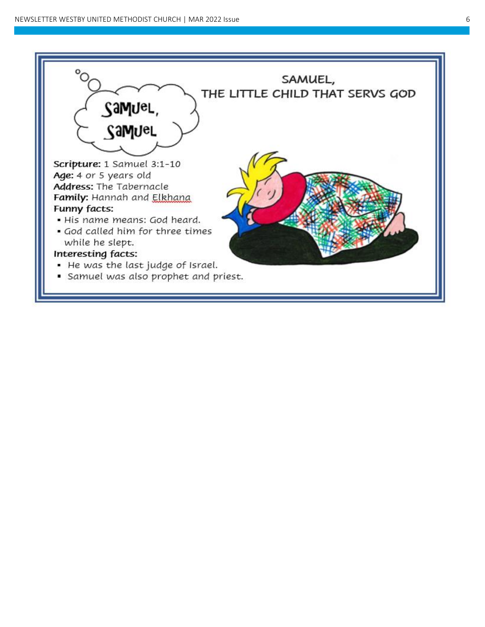